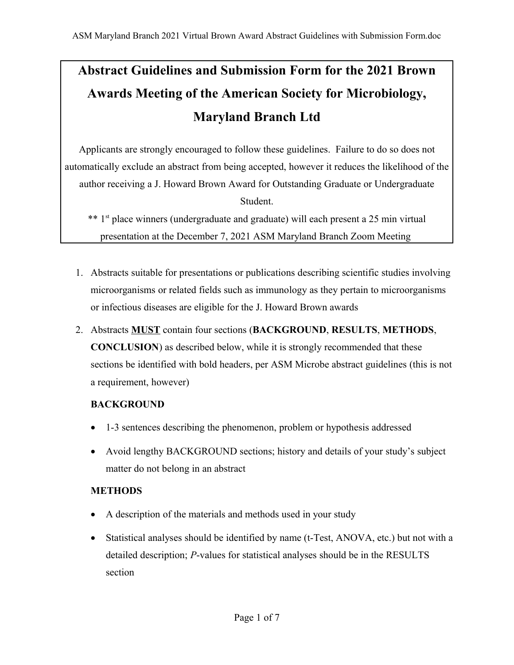# **Abstract Guidelines and Submission Form for the 2021 Brown Awards Meeting of the American Society for Microbiology, Maryland Branch Ltd**

Applicants are strongly encouraged to follow these guidelines. Failure to do so does not automatically exclude an abstract from being accepted, however it reduces the likelihood of the author receiving a J. Howard Brown Award for Outstanding Graduate or Undergraduate Student.

\*\* 1<sup>st</sup> place winners (undergraduate and graduate) will each present a 25 min virtual presentation at the December 7, 2021 ASM Maryland Branch Zoom Meeting

- 1. Abstracts suitable for presentations or publications describing scientific studies involving microorganisms or related fields such as immunology as they pertain to microorganisms or infectious diseases are eligible for the J. Howard Brown awards
- 2. Abstracts **MUST** contain four sections (**BACKGROUND**, **RESULTS**, **METHODS**, **CONCLUSION**) as described below, while it is strongly recommended that these sections be identified with bold headers, per ASM Microbe abstract guidelines (this is not a requirement, however)

#### **BACKGROUND**

- 1-3 sentences describing the phenomenon, problem or hypothesis addressed
- Avoid lengthy BACKGROUND sections; history and details of your study's subject matter do not belong in an abstract

### **METHODS**

- A description of the materials and methods used in your study
- Statistical analyses should be identified by name (t-Test, ANOVA, etc.) but not with a detailed description; *P*-values for statistical analyses should be in the RESULTS section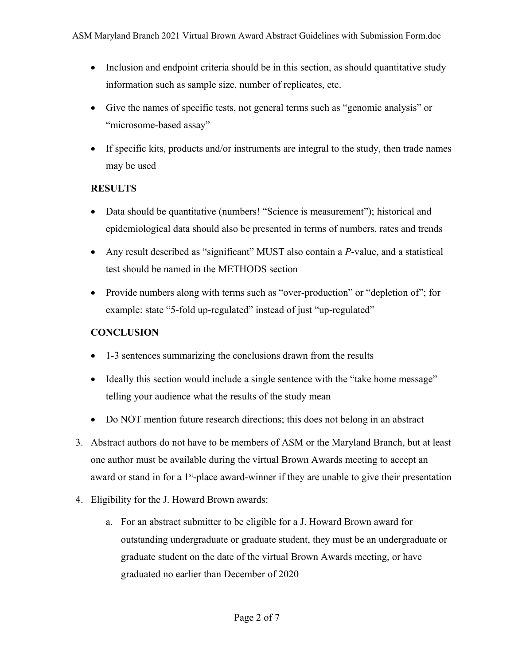- Inclusion and endpoint criteria should be in this section, as should quantitative study information such as sample size, number of replicates, etc.
- Give the names of specific tests, not general terms such as "genomic analysis" or "microsome-based assay"
- If specific kits, products and/or instruments are integral to the study, then trade names may be used

#### **RESULTS**

- Data should be quantitative (numbers! "Science is measurement"); historical and epidemiological data should also be presented in terms of numbers, rates and trends
- Any result described as "significant" MUST also contain a *P*-value, and a statistical test should be named in the METHODS section
- Provide numbers along with terms such as "over-production" or "depletion of"; for example: state "5-fold up-regulated" instead of just "up-regulated"

#### **CONCLUSION**

- 1-3 sentences summarizing the conclusions drawn from the results
- Ideally this section would include a single sentence with the "take home message" telling your audience what the results of the study mean
- Do NOT mention future research directions; this does not belong in an abstract
- 3. Abstract authors do not have to be members of ASM or the Maryland Branch, but at least one author must be available during the virtual Brown Awards meeting to accept an award or stand in for a  $1<sup>st</sup>$ -place award-winner if they are unable to give their presentation
- 4. Eligibility for the J. Howard Brown awards:
	- a. For an abstract submitter to be eligible for a J. Howard Brown award for outstanding undergraduate or graduate student, they must be an undergraduate or graduate student on the date of the virtual Brown Awards meeting, or have graduated no earlier than December of 2020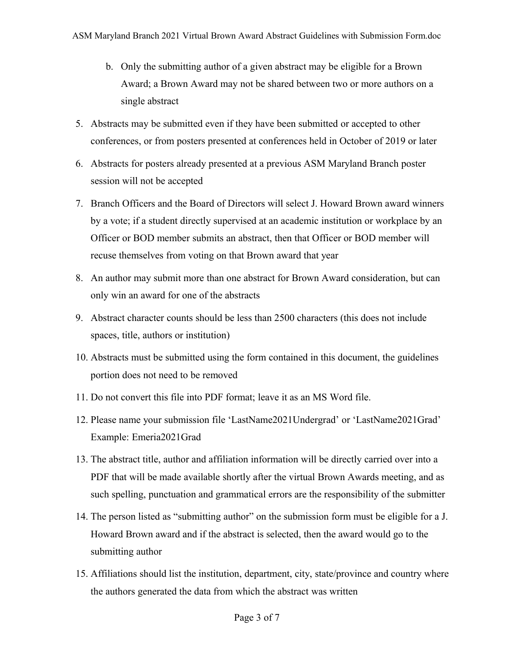- b. Only the submitting author of a given abstract may be eligible for a Brown Award; a Brown Award may not be shared between two or more authors on a single abstract
- 5. Abstracts may be submitted even if they have been submitted or accepted to other conferences, or from posters presented at conferences held in October of 2019 or later
- 6. Abstracts for posters already presented at a previous ASM Maryland Branch poster session will not be accepted
- 7. Branch Officers and the Board of Directors will select J. Howard Brown award winners by a vote; if a student directly supervised at an academic institution or workplace by an Officer or BOD member submits an abstract, then that Officer or BOD member will recuse themselves from voting on that Brown award that year
- 8. An author may submit more than one abstract for Brown Award consideration, but can only win an award for one of the abstracts
- 9. Abstract character counts should be less than 2500 characters (this does not include spaces, title, authors or institution)
- 10. Abstracts must be submitted using the form contained in this document, the guidelines portion does not need to be removed
- 11. Do not convert this file into PDF format; leave it as an MS Word file.
- 12. Please name your submission file 'LastName2021Undergrad' or 'LastName2021Grad' Example: Emeria2021Grad
- 13. The abstract title, author and affiliation information will be directly carried over into a PDF that will be made available shortly after the virtual Brown Awards meeting, and as such spelling, punctuation and grammatical errors are the responsibility of the submitter
- 14. The person listed as "submitting author" on the submission form must be eligible for a J. Howard Brown award and if the abstract is selected, then the award would go to the submitting author
- 15. Affiliations should list the institution, department, city, state/province and country where the authors generated the data from which the abstract was written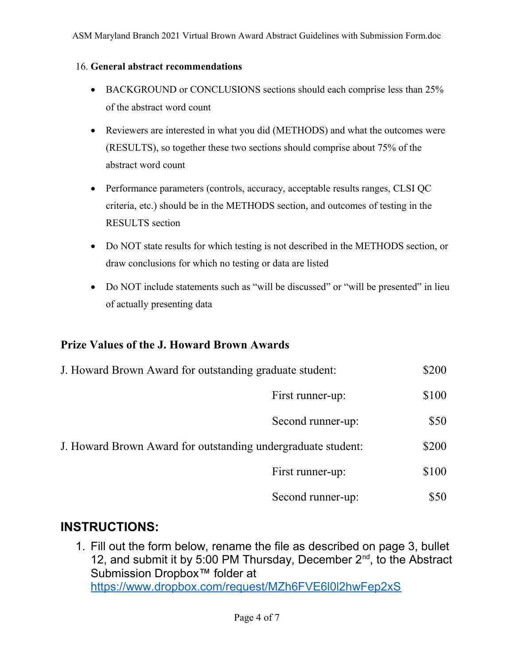#### 16. **General abstract recommendations**

- BACKGROUND or CONCLUSIONS sections should each comprise less than 25% of the abstract word count
- Reviewers are interested in what you did (METHODS) and what the outcomes were (RESULTS), so together these two sections should comprise about 75% of the abstract word count
- Performance parameters (controls, accuracy, acceptable results ranges, CLSI QC criteria, etc.) should be in the METHODS section, and outcomes of testing in the RESULTS section
- Do NOT state results for which testing is not described in the METHODS section, or draw conclusions for which no testing or data are listed
- Do NOT include statements such as "will be discussed" or "will be presented" in lieu of actually presenting data

#### **Prize Values of the J. Howard Brown Awards**

| J. Howard Brown Award for outstanding graduate student: | \$200 |
|---------------------------------------------------------|-------|
| First runner-up:                                        | \$100 |
| Second runner-up:                                       | \$50  |

- J. Howard Brown Award for outstanding undergraduate student: \$200
	- First runner-up:  $$100$
	- Second runner-up:  $$50$

## **INSTRUCTIONS:**

1. Fill out the form below, rename the file as described on page 3, bullet 12, and submit it by 5:00 PM Thursday, December  $2^{nd}$ , to the Abstract Submission Dropbox™ folder at [https://www.dropbox.com/request/MZh6FVE6l0l2hwFep2xS](https://nam11.safelinks.protection.outlook.com/?url=https%3A%2F%2Furldefense.com%2Fv3%2F__https%3A%2Fwww.dropbox.com%2Frequest%2FMZh6FVE6l0l2hwFep2xS__%3B!!AMCWqqRremt4Wx4!HM-Gyy39lOpfUVZPj21gNkY5zN2qaDtNzh3LmNvvZyp8BVzjtxPVSQm2jU9sxryVvw$&data=04%7C01%7Cjkerr@ndm.edu%7Cdb7d32044ea44766e00108d99a29d501%7C23e76ce8053b4267b0d3b497df4bbaf8%7C1%7C0%7C637710326740035003%7CUnknown%7CTWFpbGZsb3d8eyJWIjoiMC4wLjAwMDAiLCJQIjoiV2luMzIiLCJBTiI6Ik1haWwiLCJXVCI6Mn0%3D%7C1000&sdata=8B0kjKMX2dXyguRonXrdwexb%2B3ME%2F1mkUduwqV5GZzE%3D&reserved=0)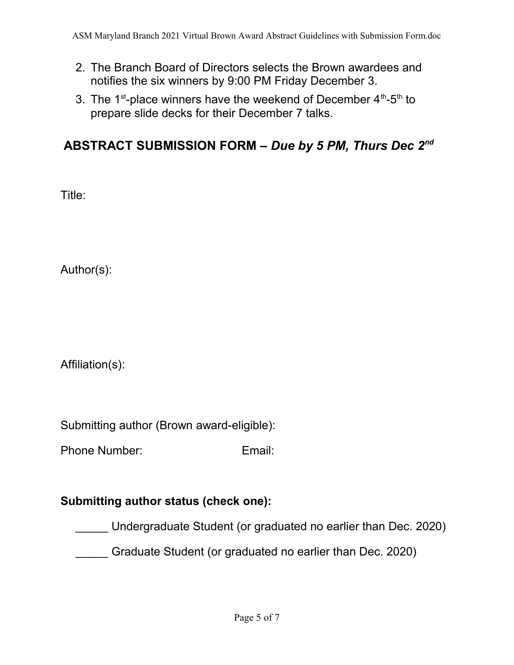- 2. The Branch Board of Directors selects the Brown awardees and notifies the six winners by 9:00 PM Friday December 3.
- 3. The 1<sup>st</sup>-place winners have the weekend of December  $4<sup>th</sup>$ -5<sup>th</sup> to prepare slide decks for their December 7 talks.

## **ABSTRACT SUBMISSION FORM –** *Due by 5 PM, Thurs Dec 2nd*

Title:

Author(s):

Affiliation(s):

Submitting author (Brown award-eligible):

Phone Number: Email:

## **Submitting author status (check one):**

\_\_\_\_\_ Undergraduate Student (or graduated no earlier than Dec. 2020)

\_\_\_\_\_ Graduate Student (or graduated no earlier than Dec. 2020)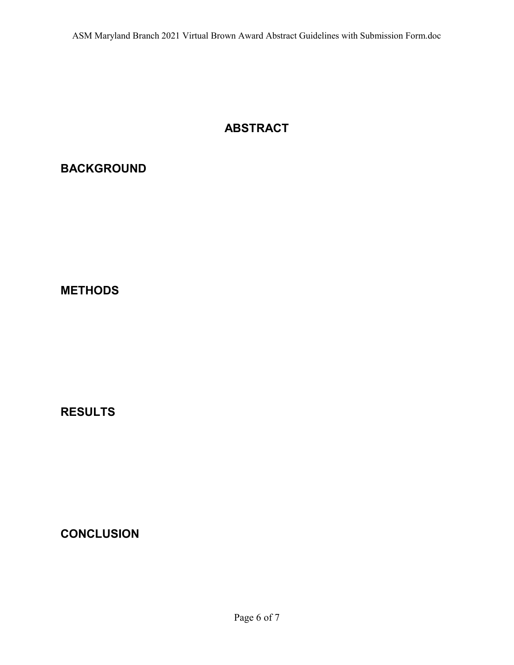## **ABSTRACT**

## **BACKGROUND**

**METHODS**

**RESULTS**

**CONCLUSION**